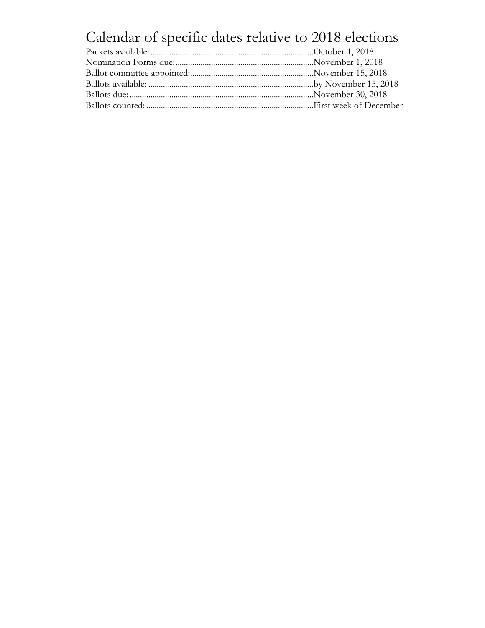# Calendar of specific dates relative to 2018 elections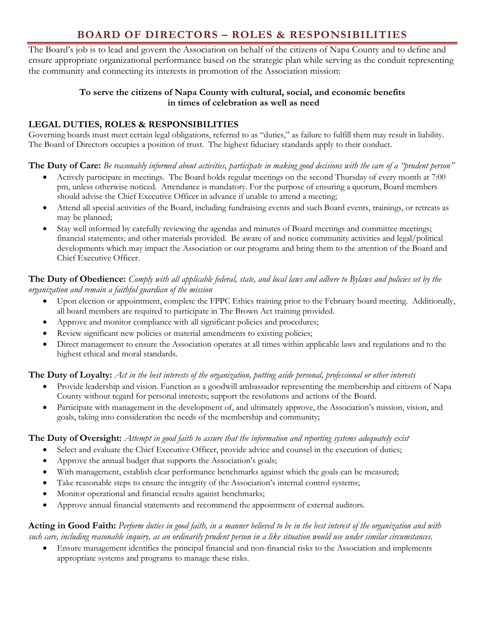# **BOARD OF DIRECTORS – ROLES & RESPONSIBILITIES**

The Board's job is to lead and govern the Association on behalf of the citizens of Napa County and to define and ensure appropriate organizational performance based on the strategic plan while serving as the conduit representing the community and connecting its interests in promotion of the Association mission:

## **To serve the citizens of Napa County with cultural, social, and economic benefits in times of celebration as well as need**

## **LEGAL DUTIES, ROLES & RESPONSIBILITIES**

Governing boards must meet certain legal obligations, referred to as "duties," as failure to fulfill them may result in liability. The Board of Directors occupies a position of trust. The highest fiduciary standards apply to their conduct.

**The Duty of Care:** *Be reasonably informed about activities, participate in making good decisions with the care of a "prudent person"*

- Actively participate in meetings. The Board holds regular meetings on the second Thursday of every month at 7:00 pm, unless otherwise noticed. Attendance is mandatory. For the purpose of ensuring a quorum, Board members should advise the Chief Executive Officer in advance if unable to attend a meeting;
- Attend all special activities of the Board, including fundraising events and such Board events, trainings, or retreats as may be planned;
- Stay well informed by carefully reviewing the agendas and minutes of Board meetings and committee meetings; financial statements; and other materials provided. Be aware of and notice community activities and legal/political developments which may impact the Association or our programs and bring them to the attention of the Board and Chief Executive Officer.

## **The Duty of Obedience:** *Comply with all applicable federal, state, and local laws and adhere to Bylaws and policies set by the organization and remain a faithful guardian of the mission*

- Upon election or appointment, complete the FPPC Ethics training prior to the February board meeting. Additionally, all board members are required to participate in The Brown Act training provided.
- Approve and monitor compliance with all significant policies and procedures;
- Review significant new policies or material amendments to existing policies;
- Direct management to ensure the Association operates at all times within applicable laws and regulations and to the highest ethical and moral standards.

## **The Duty of Loyalty:** *Act in the best interests of the organization, putting aside personal, professional or other interests*

- Provide leadership and vision. Function as a goodwill ambassador representing the membership and citizens of Napa County without regard for personal interests; support the resolutions and actions of the Board.
- Participate with management in the development of, and ultimately approve, the Association's mission, vision, and goals, taking into consideration the needs of the membership and community;

## **The Duty of Oversight:** *Attempt in good faith to assure that the information and reporting systems adequately exist*

- Select and evaluate the Chief Executive Officer, provide advice and counsel in the execution of duties;
- Approve the annual budget that supports the Association's goals;
- With management, establish clear performance benchmarks against which the goals can be measured;
- Take reasonable steps to ensure the integrity of the Association's internal control systems;
- Monitor operational and financial results against benchmarks;
- Approve annual financial statements and recommend the appointment of external auditors.

## **Acting in Good Faith:** *Perform duties in good faith, in a manner believed to be in the best interest of the organization and with such care, including reasonable inquiry, as an ordinarily prudent person in a like situation would use under similar circumstances.*

• Ensure management identifies the principal financial and non-financial risks to the Association and implements appropriate systems and programs to manage these risks.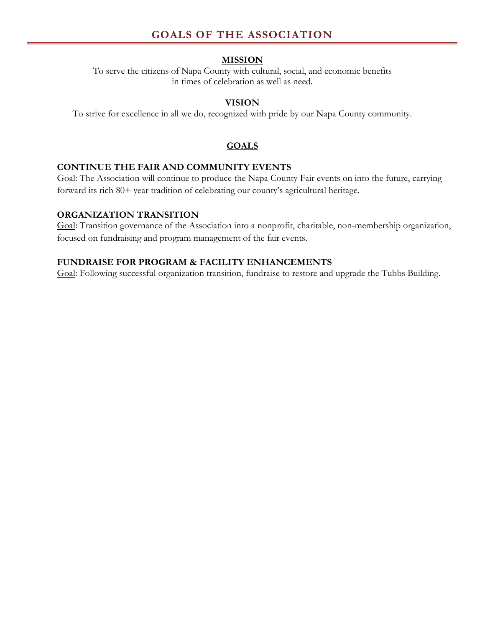# **GOALS OF THE ASSOCIATION**

#### **MISSION**

To serve the citizens of Napa County with cultural, social, and economic benefits in times of celebration as well as need.

#### **VISION**

To strive for excellence in all we do, recognized with pride by our Napa County community.

#### **GOALS**

#### **CONTINUE THE FAIR AND COMMUNITY EVENTS**

Goal: The Association will continue to produce the Napa County Fair events on into the future, carrying forward its rich 80+ year tradition of celebrating our county's agricultural heritage.

#### **ORGANIZATION TRANSITION**

Goal: Transition governance of the Association into a nonprofit, charitable, non-membership organization, focused on fundraising and program management of the fair events.

## **FUNDRAISE FOR PROGRAM & FACILITY ENHANCEMENTS**

Goal: Following successful organization transition, fundraise to restore and upgrade the Tubbs Building.